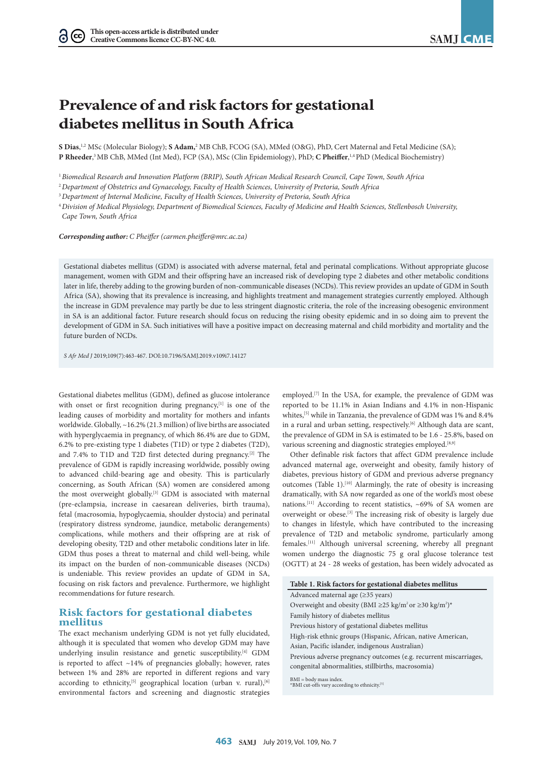# **Prevalence of and risk factors for gestational diabetes mellitus in South Africa**

**S Dias**, 1,2 MSc (Molecular Biology); **S Adam,** <sup>2</sup> MB ChB, FCOG (SA), MMed (O&G), PhD, Cert Maternal and Fetal Medicine (SA); **P Rheeder**, 3 MB ChB, MMed (Int Med), FCP (SA), MSc (Clin Epidemiology), PhD; **C Pheiffer**, 1,4 PhD (Medical Biochemistry)

<sup>1</sup>*Biomedical Research and Innovation Platform (BRIP), South African Medical Research Council, Cape Town, South Africa*

<sup>2</sup>*Department of Obstetrics and Gynaecology, Faculty of Health Sciences, University of Pretoria, South Africa*

<sup>3</sup>*Department of Internal Medicine, Faculty of Health Sciences, University of Pretoria, South Africa*

<sup>4</sup>*Division of Medical Physiology, Department of Biomedical Sciences, Faculty of Medicine and Health Sciences, Stellenbosch University, Cape Town, South Africa*

*Corresponding author: C Pheiffer (carmen.pheiffer@mrc.ac.za)*

Gestational diabetes mellitus (GDM) is associated with adverse maternal, fetal and perinatal complications. Without appropriate glucose management, women with GDM and their offspring have an increased risk of developing type 2 diabetes and other metabolic conditions later in life, thereby adding to the growing burden of non-communicable diseases (NCDs). This review provides an update of GDM in South Africa (SA), showing that its prevalence is increasing, and highlights treatment and management strategies currently employed. Although the increase in GDM prevalence may partly be due to less stringent diagnostic criteria, the role of the increasing obesogenic environment in SA is an additional factor. Future research should focus on reducing the rising obesity epidemic and in so doing aim to prevent the development of GDM in SA. Such initiatives will have a positive impact on decreasing maternal and child morbidity and mortality and the future burden of NCDs.

*S Afr Med J* 2019;109(7):463-467. DOI:10.7196/SAMJ.2019.v109i7.14127

Gestational diabetes mellitus (GDM), defined as glucose intolerance with onset or first recognition during pregnancy,<sup>[1]</sup> is one of the leading causes of morbidity and mortality for mothers and infants worldwide. Globally, ~16.2% (21.3 million) of live births are associated with hyperglycaemia in pregnancy, of which 86.4% are due to GDM, 6.2% to pre-existing type 1 diabetes (T1D) or type 2 diabetes (T2D), and 7.4% to T1D and T2D first detected during pregnancy.<sup>[2]</sup> The prevalence of GDM is rapidly increasing worldwide, possibly owing to advanced child-bearing age and obesity. This is particularly concerning, as South African (SA) women are considered among the most overweight globally.<sup>[3]</sup> GDM is associated with maternal (pre-eclampsia, increase in caesarean deliveries, birth trauma), fetal (macrosomia, hypoglycaemia, shoulder dystocia) and perinatal (respiratory distress syndrome, jaundice, metabolic derangements) complications, while mothers and their offspring are at risk of developing obesity, T2D and other metabolic conditions later in life. GDM thus poses a threat to maternal and child well-being, while its impact on the burden of non-communicable diseases (NCDs) is undeniable. This review provides an update of GDM in SA, focusing on risk factors and prevalence. Furthermore, we highlight recommendations for future research.

## **Risk factors for gestational diabetes mellitus**

The exact mechanism underlying GDM is not yet fully elucidated, although it is speculated that women who develop GDM may have underlying insulin resistance and genetic susceptibility.<sup>[4]</sup> GDM is reported to affect ~14% of pregnancies globally; however, rates between 1% and 28% are reported in different regions and vary according to ethnicity,<sup>[5]</sup> geographical location (urban v. rural),<sup>[6]</sup> environmental factors and screening and diagnostic strategies employed.[7] In the USA, for example, the prevalence of GDM was reported to be 11.1% in Asian Indians and 4.1% in non-Hispanic whites,<sup>[5]</sup> while in Tanzania, the prevalence of GDM was 1% and 8.4% in a rural and urban setting, respectively.<sup>[6]</sup> Although data are scant, the prevalence of GDM in SA is estimated to be 1.6 - 25.8%, based on various screening and diagnostic strategies employed.<sup>[8,9]</sup>

Other definable risk factors that affect GDM prevalence include advanced maternal age, overweight and obesity, family history of diabetes, previous history of GDM and previous adverse pregnancy outcomes (Table 1).<sup>[10]</sup> Alarmingly, the rate of obesity is increasing dramatically, with SA now regarded as one of the world's most obese nations.[11] According to recent statistics, ~69% of SA women are overweight or obese.[3] The increasing risk of obesity is largely due to changes in lifestyle, which have contributed to the increasing prevalence of T2D and metabolic syndrome, particularly among females.[11] Although universal screening, whereby all pregnant women undergo the diagnostic 75 g oral glucose tolerance test (OGTT) at 24 - 28 weeks of gestation, has been widely advocated as

| Table 1. Risk factors for gestational diabetes mellitus                                   |
|-------------------------------------------------------------------------------------------|
| Advanced maternal age $(\geq 35 \text{ years})$                                           |
| Overweight and obesity (BMI $\geq$ 25 kg/m <sup>2</sup> or $\geq$ 30 kg/m <sup>2</sup> )* |
| Family history of diabetes mellitus                                                       |
| Previous history of gestational diabetes mellitus                                         |
| High-risk ethnic groups (Hispanic, African, native American,                              |
| Asian, Pacific islander, indigenous Australian)                                           |
| Previous adverse pregnancy outcomes (e.g. recurrent miscarriages,                         |
| congenital abnormalities, stillbirths, macrosomia)                                        |
| $BMI = body$ mass index.<br>*BMI cut-offs vary according to ethnicity.[5]                 |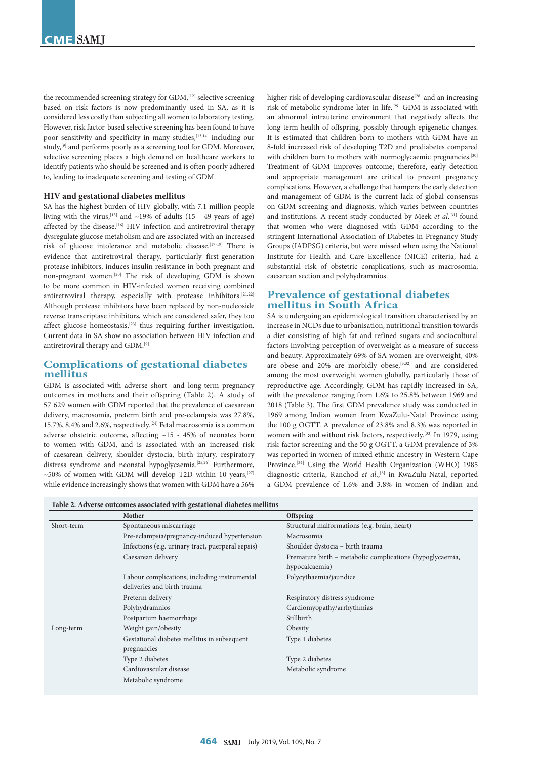the recommended screening strategy for GDM,<sup>[12]</sup> selective screening based on risk factors is now predominantly used in SA, as it is considered less costly than subjecting all women to laboratory testing. However, risk factor-based selective screening has been found to have poor sensitivity and specificity in many studies, [13,14] including our study,<sup>[9]</sup> and performs poorly as a screening tool for GDM. Moreover, selective screening places a high demand on healthcare workers to identify patients who should be screened and is often poorly adhered to, leading to inadequate screening and testing of GDM.

### **HIV and gestational diabetes mellitus**

SA has the highest burden of HIV globally, with 7.1 million people living with the virus, [15] and  $\sim$  19% of adults (15 - 49 years of age) affected by the disease.<sup>[16]</sup> HIV infection and antiretroviral therapy dysregulate glucose metabolism and are associated with an increased risk of glucose intolerance and metabolic disease.<sup>[17-19]</sup> There is evidence that antiretroviral therapy, particularly first-generation protease inhibitors, induces insulin resistance in both pregnant and non-pregnant women.[20] The risk of developing GDM is shown to be more common in HIV-infected women receiving combined antiretroviral therapy, especially with protease inhibitors.[21,22] Although protease inhibitors have been replaced by non-nucleoside reverse transcriptase inhibitors, which are considered safer, they too affect glucose homeostasis,<sup>[23]</sup> thus requiring further investigation. Current data in SA show no association between HIV infection and antiretroviral therapy and GDM.[9]

# **Complications of gestational diabetes mellitus**

GDM is associated with adverse short- and long-term pregnancy outcomes in mothers and their offspring (Table 2). A study of 57 629 women with GDM reported that the prevalence of caesarean delivery, macrosomia, preterm birth and pre-eclampsia was 27.8%, 15.7%, 8.4% and 2.6%, respectively.[24] Fetal macrosomia is a common adverse obstetric outcome, affecting ~15 - 45% of neonates born to women with GDM, and is associated with an increased risk of caesarean delivery, shoulder dystocia, birth injury, respiratory distress syndrome and neonatal hypoglycaemia.[25,26] Furthermore,  $\sim$  50% of women with GDM will develop T2D within 10 years,<sup>[27]</sup> while evidence increasingly shows that women with GDM have a 56%

higher risk of developing cardiovascular disease<sup>[28]</sup> and an increasing risk of metabolic syndrome later in life.<sup>[29]</sup> GDM is associated with an abnormal intrauterine environment that negatively affects the long-term health of offspring, possibly through epigenetic changes. It is estimated that children born to mothers with GDM have an 8-fold increased risk of developing T2D and prediabetes compared with children born to mothers with normoglycaemic pregnancies.<sup>[30]</sup> Treatment of GDM improves outcome; therefore, early detection and appropriate management are critical to prevent pregnancy complications. However, a challenge that hampers the early detection and management of GDM is the current lack of global consensus on GDM screening and diagnosis, which varies between countries and institutions. A recent study conducted by Meek *et al*.<sup>[31]</sup> found that women who were diagnosed with GDM according to the stringent International Association of Diabetes in Pregnancy Study Groups (IADPSG) criteria, but were missed when using the National Institute for Health and Care Excellence (NICE) criteria, had a substantial risk of obstetric complications, such as macrosomia, caesarean section and polyhydramnios.

# **Prevalence of gestational diabetes mellitus in South Africa**

SA is undergoing an epidemiological transition characterised by an increase in NCDs due to urbanisation, nutritional transition towards a diet consisting of high fat and refined sugars and sociocultural factors involving perception of overweight as a measure of success and beauty. Approximately 69% of SA women are overweight, 40% are obese and 20% are morbidly obese, [3,32] and are considered among the most overweight women globally, particularly those of reproductive age. Accordingly, GDM has rapidly increased in SA, with the prevalence ranging from 1.6% to 25.8% between 1969 and 2018 (Table 3). The first GDM prevalence study was conducted in 1969 among Indian women from KwaZulu-Natal Province using the 100 g OGTT. A prevalence of 23.8% and 8.3% was reported in women with and without risk factors, respectively.<sup>[33]</sup> In 1979, using risk-factor screening and the 50 g OGTT, a GDM prevalence of 3% was reported in women of mixed ethnic ancestry in Western Cape Province.<sup>[34]</sup> Using the World Health Organization (WHO) 1985 diagnostic criteria, Ranchod *et al*.,[8] in KwaZulu-Natal, reported a GDM prevalence of 1.6% and 3.8% in women of Indian and

|            | Mother                                            | <b>Offspring</b>                                          |
|------------|---------------------------------------------------|-----------------------------------------------------------|
| Short-term | Spontaneous miscarriage                           | Structural malformations (e.g. brain, heart)              |
|            | Pre-eclampsia/pregnancy-induced hypertension      | Macrosomia                                                |
|            | Infections (e.g. urinary tract, puerperal sepsis) | Shoulder dystocia - birth trauma                          |
|            | Caesarean delivery                                | Premature birth – metabolic complications (hypoglycaemia, |
|            |                                                   | hypocalcaemia)                                            |
|            | Labour complications, including instrumental      | Polycythaemia/jaundice                                    |
|            | deliveries and birth trauma                       |                                                           |
|            | Preterm delivery                                  | Respiratory distress syndrome                             |
|            | Polyhydramnios                                    | Cardiomyopathy/arrhythmias                                |
|            | Postpartum haemorrhage                            | Stillbirth                                                |
| Long-term  | Weight gain/obesity                               | Obesity                                                   |
|            | Gestational diabetes mellitus in subsequent       | Type 1 diabetes                                           |
|            | pregnancies                                       |                                                           |
|            | Type 2 diabetes                                   | Type 2 diabetes                                           |
|            | Cardiovascular disease                            | Metabolic syndrome                                        |
|            | Metabolic syndrome                                |                                                           |

## **Table 2. Adverse outcomes associated with gestational diabetes mellitus**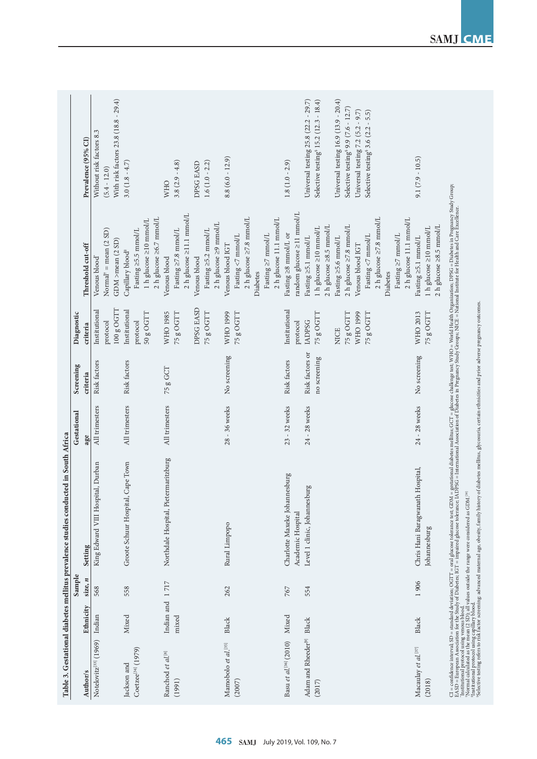|                                   |              |         | ed in South Africa<br>Table 3. Gestational diabetes mellitus prevalence studies conducto                                                                                                                                       |                |                 |                              |                                                     |                                                     |
|-----------------------------------|--------------|---------|--------------------------------------------------------------------------------------------------------------------------------------------------------------------------------------------------------------------------------|----------------|-----------------|------------------------------|-----------------------------------------------------|-----------------------------------------------------|
|                                   |              | Sample  |                                                                                                                                                                                                                                | Gestational    | Screening       | Diagnostic                   |                                                     |                                                     |
| Author/s                          | Ethnicity    | size, n | Setting                                                                                                                                                                                                                        | age            | criteria        | criteria                     | Threshold cut-off                                   | Prevalence (95% CI)                                 |
| Notelovitz <sup>[33]</sup> (1969) | Indian       | 568     | l, Durban<br>King Edward VIII Hospital                                                                                                                                                                                         | All trimesters | Risk factors    | Institutional                | Venous blood                                        | Without risk factors 8.3                            |
|                                   |              |         |                                                                                                                                                                                                                                |                |                 | protocol                     | Normal <sup>†</sup> = mean $(2 SD)$                 | $(5.4 - 12.0)$                                      |
|                                   |              |         |                                                                                                                                                                                                                                |                |                 | $100 \text{ g} \text{ OGTT}$ | $GDM$ >mean $(2 SD)$                                | With risk factors 23.8 (18.8 - 29.4)                |
| Jackson and                       | Mixed        | 558     | Groote Schuur Hospital, Cape Town                                                                                                                                                                                              | All trimesters | Risk factors    | Institutional                | Capillary blood <sup>#</sup>                        | $3.0(1.8 - 4.7)$                                    |
| Coetzee <sup>[34]</sup> (1979)    |              |         |                                                                                                                                                                                                                                |                |                 | protocol                     | Fasting 25.5 mmol/L                                 |                                                     |
|                                   |              |         |                                                                                                                                                                                                                                |                |                 | 50 g OGTT                    | $1\ \mathrm{h}$ glucose ${\geq}10\ \mathrm{mmol/L}$ |                                                     |
|                                   |              |         |                                                                                                                                                                                                                                |                |                 |                              | 2 h glucose ≥6.7 mmol/L                             |                                                     |
| Ranchod et al.[8]                 | Indian and   | 1717    | Northdale Hospital, Pietermaritzburg                                                                                                                                                                                           | All trimesters | g GCT<br>75     | WHO 1985                     | Venous blood                                        | <b>WHO</b>                                          |
| (1991)                            | mixed        |         |                                                                                                                                                                                                                                |                |                 | 75 g OGTT                    | Fasting ≥7.8 mmol/L                                 | $3.8(2.9 - 4.8)$                                    |
|                                   |              |         |                                                                                                                                                                                                                                |                |                 |                              | 2 h glucose ≥11.1 mmol/L                            |                                                     |
|                                   |              |         |                                                                                                                                                                                                                                |                |                 | DPSG EASD                    | Venous blood                                        | <b>DPSG EASD</b>                                    |
|                                   |              |         |                                                                                                                                                                                                                                |                |                 | 75 g O GTT                   | Fasting ≥5.2 mmol/L                                 | $1.6(1.0 - 2.2)$                                    |
|                                   |              |         |                                                                                                                                                                                                                                |                |                 |                              | $2\,\mathrm{h}$ glucose ${\geq}9$ mmol/L            |                                                     |
| Mamobolo et al.[35]               | Black        | 262     | Rural Limpopo                                                                                                                                                                                                                  | 28 - 36 weeks  | No screening    | <b>WHO1999</b>               | Venous blood IGT                                    | $8.8(6.0 - 12.9)$                                   |
| (2007)                            |              |         |                                                                                                                                                                                                                                |                |                 | 75 g O GTT                   | Fasting <7 mmol/L                                   |                                                     |
|                                   |              |         |                                                                                                                                                                                                                                |                |                 |                              | $2$ h glucose ${\geq}7.8$ mmol/L                    |                                                     |
|                                   |              |         |                                                                                                                                                                                                                                |                |                 |                              | Diabetes                                            |                                                     |
|                                   |              |         |                                                                                                                                                                                                                                |                |                 |                              | Fasting $\geq$ 7 mmol/L                             |                                                     |
|                                   |              |         |                                                                                                                                                                                                                                |                |                 |                              | 2 h glucose 11.1 mmol/L                             |                                                     |
| Basu et al.<br>$ ^{186} (2010)$   | Mixed        | 767     | Charlotte Maxeke Johannesburg                                                                                                                                                                                                  | 23 - 32 weeks  | Risk factors    | Institutional                | Fasting ≥8 mmol/L or                                | $1.8(1.0 - 2.9)$                                    |
|                                   |              |         | Academic Hospital                                                                                                                                                                                                              |                |                 | protocol                     | random glucose ≥11 mmol/L                           |                                                     |
| Adam and Rheeder <sup>[9]</sup>   | <b>Black</b> | 554     | Level 1 clinic, Johannesburg                                                                                                                                                                                                   | 24 - 28 weeks  | Risk factors or | <b>IADPSG</b>                | Fasting 25.1 mmol/L                                 | Universal testing 25.8 (22.2 - 29.7)                |
| (2017)                            |              |         |                                                                                                                                                                                                                                |                | no screening    | 75g OGTT                     | $1 \; h \; g$ lucose $\geq 10 \; mmol/L$            | Selective testing <sup>\$</sup> 15.2 (12.3 - 18.4)  |
|                                   |              |         |                                                                                                                                                                                                                                |                |                 |                              | 2 h glucose ≥8.5 mmol/L                             |                                                     |
|                                   |              |         |                                                                                                                                                                                                                                |                |                 | <b>NICE</b>                  | Fasting 25.6 mmol/L                                 | Universal testing 16.9 (13.9 - 20.4)                |
|                                   |              |         |                                                                                                                                                                                                                                |                |                 | 75 g O GTT                   | 2 h glucose $\geq 7.8$ mmol/L                       | Selective testing <sup>s</sup> 9.9 (7.6 - 12.7)     |
|                                   |              |         |                                                                                                                                                                                                                                |                |                 | <b>WHO1999</b>               | Venous blood IGT                                    | Universal testing 7.2 (5.2 - 9.7)                   |
|                                   |              |         |                                                                                                                                                                                                                                |                |                 | 75 g O GTT                   | Fasting <7 mmol/L                                   | (5.5)<br>Selective testing <sup>\$</sup> 3.6 (2.2 - |
|                                   |              |         |                                                                                                                                                                                                                                |                |                 |                              | $2$ h glucose ${\geq}7.8$ mmol/L                    |                                                     |
|                                   |              |         |                                                                                                                                                                                                                                |                |                 |                              | Diabetes                                            |                                                     |
|                                   |              |         |                                                                                                                                                                                                                                |                |                 |                              | Fasting $\geq 7$ mmol/L                             |                                                     |
|                                   |              |         |                                                                                                                                                                                                                                |                |                 |                              | 2 h glucose 11.1 mmol/L                             |                                                     |
| Macaulay et al.<br>$\!$           | <b>Black</b> | 1906    | Chris Hani Baragwanath Hospital,                                                                                                                                                                                               | 24 - 28 weeks  | No screening    | WHO 2013                     | Fasting 25.1 mmol/L                                 | $9.1(7.9 - 10.5)$                                   |
| (2018)                            |              |         | Johannesburg                                                                                                                                                                                                                   |                |                 | 75gOGTT                      | $1~\mathrm{h}$ glucose $\geq\!10~\mathrm{mmol/L}$   |                                                     |
|                                   |              |         |                                                                                                                                                                                                                                |                |                 |                              | 2 h glucose ≥8.5 mmol/L                             |                                                     |
|                                   |              |         |                                                                                                                                                                                                                                |                |                 |                              |                                                     |                                                     |
|                                   |              |         | Cl = confidence interval; \$D = standad deviation; OCITI = oral glucose tolerance test; GDM = gestational diabetes mellitus; GCT = glucose challenge test; WHO = World Health Organization; DPSG = Diabetes in Pregnancy Study |                |                 |                              |                                                     |                                                     |
|                                   |              |         |                                                                                                                                                                                                                                |                |                 |                              |                                                     |                                                     |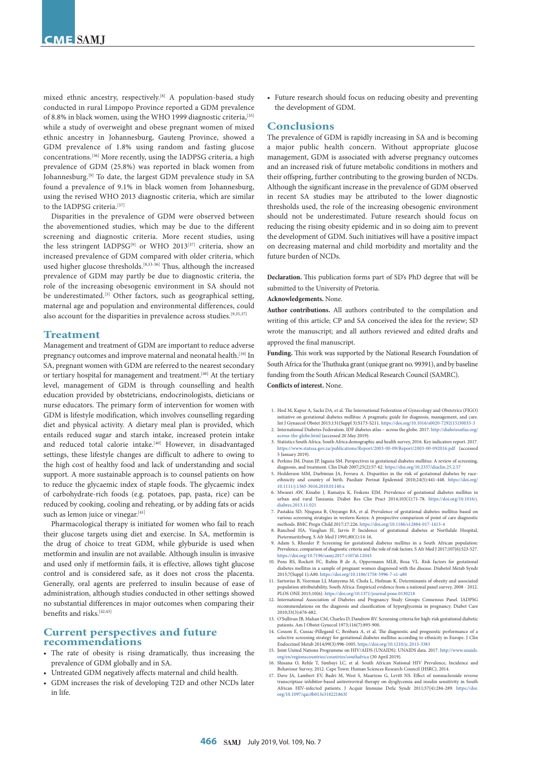mixed ethnic ancestry, respectively.[8] A population-based study conducted in rural Limpopo Province reported a GDM prevalence of 8.8% in black women, using the WHO 1999 diagnostic criteria, <br/>  $^{\left[ 35\right] }$ while a study of overweight and obese pregnant women of mixed ethnic ancestry in Johannesburg, Gauteng Province, showed a GDM prevalence of 1.8% using random and fasting glucose concentrations.[36] More recently, using the IADPSG criteria, a high prevalence of GDM (25.8%) was reported in black women from Johannesburg.<sup>[9]</sup> To date, the largest GDM prevalence study in SA found a prevalence of 9.1% in black women from Johannesburg, using the revised WHO 2013 diagnostic criteria, which are similar to the IADPSG criteria.[37]

Disparities in the prevalence of GDM were observed between the abovementioned studies, which may be due to the different screening and diagnostic criteria. More recent studies, using the less stringent IADPSG<sup>[9]</sup> or WHO 2013<sup>[37]</sup> criteria, show an increased prevalence of GDM compared with older criteria, which used higher glucose thresholds.[8,33-36] Thus, although the increased prevalence of GDM may partly be due to diagnostic criteria, the role of the increasing obesogenic environment in SA should not be underestimated.<sup>[3]</sup> Other factors, such as geographical setting, maternal age and population and environmental differences, could also account for the disparities in prevalence across studies.[9,35,37]

## **Treatment**

Management and treatment of GDM are important to reduce adverse pregnancy outcomes and improve maternal and neonatal health.<sup>[39]</sup> In SA, pregnant women with GDM are referred to the nearest secondary or tertiary hospital for management and treatment.<sup>[40]</sup> At the tertiary level, management of GDM is through counselling and health education provided by obstetricians, endocrinologists, dieticians or nurse educators. The primary form of intervention for women with GDM is lifestyle modification, which involves counselling regarding diet and physical activity. A dietary meal plan is provided, which entails reduced sugar and starch intake, increased protein intake and reduced total calorie intake.<sup>[40]</sup> However, in disadvantaged settings, these lifestyle changes are difficult to adhere to owing to the high cost of healthy food and lack of understanding and social support. A more sustainable approach is to counsel patients on how to reduce the glycaemic index of staple foods. The glycaemic index of carbohydrate-rich foods (e.g. potatoes, pap, pasta, rice) can be reduced by cooking, cooling and reheating, or by adding fats or acids such as lemon juice or vinegar.<sup>[41]</sup>

Pharmacological therapy is initiated for women who fail to reach their glucose targets using diet and exercise. In SA, metformin is the drug of choice to treat GDM, while glyburide is used when metformin and insulin are not available. Although insulin is invasive and used only if metformin fails, it is effective, allows tight glucose control and is considered safe, as it does not cross the placenta. Generally, oral agents are preferred to insulin because of ease of administration, although studies conducted in other settings showed no substantial differences in major outcomes when comparing their benefits and risks.<sup>[42,43]</sup>

## **Current perspectives and future recommendations**

- The rate of obesity is rising dramatically, thus increasing the prevalence of GDM globally and in SA.
- Untreated GDM negatively affects maternal and child health.
- GDM increases the risk of developing T2D and other NCDs later in life.

• Future research should focus on reducing obesity and preventing the development of GDM.

#### **Conclusions**

The prevalence of GDM is rapidly increasing in SA and is becoming a major public health concern. Without appropriate glucose management, GDM is associated with adverse pregnancy outcomes and an increased risk of future metabolic conditions in mothers and their offspring, further contributing to the growing burden of NCDs. Although the significant increase in the prevalence of GDM observed in recent SA studies may be attributed to the lower diagnostic thresholds used, the role of the increasing obesogenic environment should not be underestimated. Future research should focus on reducing the rising obesity epidemic and in so doing aim to prevent the development of GDM. Such initiatives will have a positive impact on decreasing maternal and child morbidity and mortality and the future burden of NCDs.

**Declaration.** This publication forms part of SD's PhD degree that will be submitted to the University of Pretoria.

#### **Acknowledgements.** None.

**Author contributions.** All authors contributed to the compilation and writing of this article; CP and SA conceived the idea for the review; SD wrote the manuscript; and all authors reviewed and edited drafts and approved the final manuscript.

**Funding.** This work was supported by the National Research Foundation of South Africa for the Thuthuka grant (unique grant no. 99391), and by baseline funding from the South African Medical Research Council (SAMRC). **Conflicts of interest.** None.

- 1. Hod M, Kapur A, Sacks DA, et al. The International Federation of Gynecology and Obstetrics (FIGO) initiative on gestational diabetes mellitus: A pragmatic guide for diagnosis, management, and care. Int J Gynaecol Obstet 2015;131(Suppl 3):S173-S211. [https://doi.org/10.1016/s0020-7292\(15\)30033-3](https://doi.org/10.1016/s0020-7292(15)30033-3 )
- 2. International Diabetes Federation. IDF diabetes atlas across the globe. 2017. [http://diabetesatlas.org/](http://diabetesatlas.org/across-the-globe.html) [across-the-globe.html](http://diabetesatlas.org/across-the-globe.html) (accessed 20 May 2019).
- 3. Statistics South Africa. South Africa demographic and health survey, 2016. Key indicators report. 2017. <https://www.statssa.gov.za/publications/Report/2003-00-09/Report/2003-00-092016.pdf> (accessed 5 January 2019).
- 4. Perkins JM, Dunn JP, Jagasia SM. Perspectives in gestational diabetes mellitus: A review of screening,
- diagnosis, and treatment. Clin Diab 2007;25(2):57-62. https://doi.org/10.2337/diaclin.25.2.57 5. Hedderson MM, Darbinian JA, Ferrara A. Disparities in the risk of gestational diabetes by raceethnicity and country of birth. Paediatr Perinat Epidemiol 2010;24(5):441-448. [https://doi.org/](https://doi.org/-10.1111/j.1365-3016.2010.01140.x) [10.1111/j.1365-3016.2010.01140.x](https://doi.org/-10.1111/j.1365-3016.2010.01140.x)
- 6. Mwanri AW, Kinabo J, Ramaiya K, Feskens EJM. Prevalence of gestational diabetes mellitus in urban and rural Tanzania. Diabet Res Clin Pract 2014;103(1):71-78. [https://doi.org/10.1016/j.](https://doi.org/10.1016/j.diabres.2013.11.021  ) diabres.2013.11.021
- 7. Pastakia SD, Njuguna B, Onyango BA, et al. Prevalence of gestational diabetes mellitus based on various screening strategies in western Kenya: A prospective comparison of point of care diagnostic methods. BMC Pregn Child 2017;17:226. https://doi.org/10.1186/s12884-017-1415-4
- 8. Ranchod HA, Vaughan JE, Jarvis P. Incidence of gestational diabetes at Northdale Hospital, Pietermaritzburg. S Afr Med J 1991;80(1):14-16.
- 9. Adam S, Rheeder P. Screening for gestational diabetes mellitus in a South African population: Prevalence, comparison of diagnostic criteria and the role of risk factors. S Afr Med J 2017;107(6):523-527.
- https://doi.org/10.7196/samj.2017.v107i6.12043 10. Pons RS, Rockett FC, Rubin B de A, Oppermann MLR, Bosa VL. Risk factors for gestational diabetes mellitus in a sample of pregnant women diagnosed with the disease. Diabetol Metab Syndr 2015;7(Suppl 1):A80. https://doi.org/10.1186/1758-5996-7-s1-a80
- 11. Sartorius B, Veerman LJ, Manyema M, Chola L, Hofman K. Determinants of obesity and associated population attributability, South Africa: Empirical evidence from a national panel survey, 2008 - 2012.
- PLOS ONE 2015;10(6). https://doi.org/10.1371/journal.pone.0130218 12. International Association of Diabetes and Pregnancy Study Groups Consensus Panel. IADPSG recommendations on the diagnosis and classification of hyperglycemia in pregnancy. Diabet Care 2010;33(3):676-682.
- 13. O'Sullivan JB, Mahan CM, Charles D, Dandrow RV. Screening criteria for high-risk gestational diabetic patients. Am J Obstet Gynecol 1973;116(7):895-900.
- 14. Cosson E, Cussac-Pillegand C, Benbara A, et al. The diagnostic and prognostic performance of a selective screening strategy for gestational diabetes mellitus according to ethnicity in Europe. J Clin Endocrinol Metab 2014;99(3):996-1005. https://doi.org/10.1210/jc.2013-3383
- 15. Joint United Nations Programme on HIV/AIDS (UNAIDS). UNAIDS data. 2017. [http://www.unaids.](http://www.unaids.org/en/regionscountries/countries/southafrica) [org/en/regionscountries/countries/southafrica](http://www.unaids.org/en/regionscountries/countries/southafrica) (30 April 2019).
- 16. Shisana O, Rehle T, Simbayi LC, et al. South African National HIV Prevalence, Incidence and Behaviour Survey, 2012. Cape Town: Human Sciences Research Council (HSRC), 2014. 17. Dave JA, Lambert EV, Badri M, West S, Maartens G, Levitt NS. Effect of nonnucleoside reverse
- transcriptase inhibitor-based antiretroviral therapy on dysglycemia and insulin sensitivity in South African HIV-infected patients. J Acquir Immune Defic Syndr 2011;57(4):284-289. [https://doi.](https://doi.org/10.1097/qai.0b013e318221863f ) [org/10.1097/qai.0b013e318221863f](https://doi.org/10.1097/qai.0b013e318221863f )